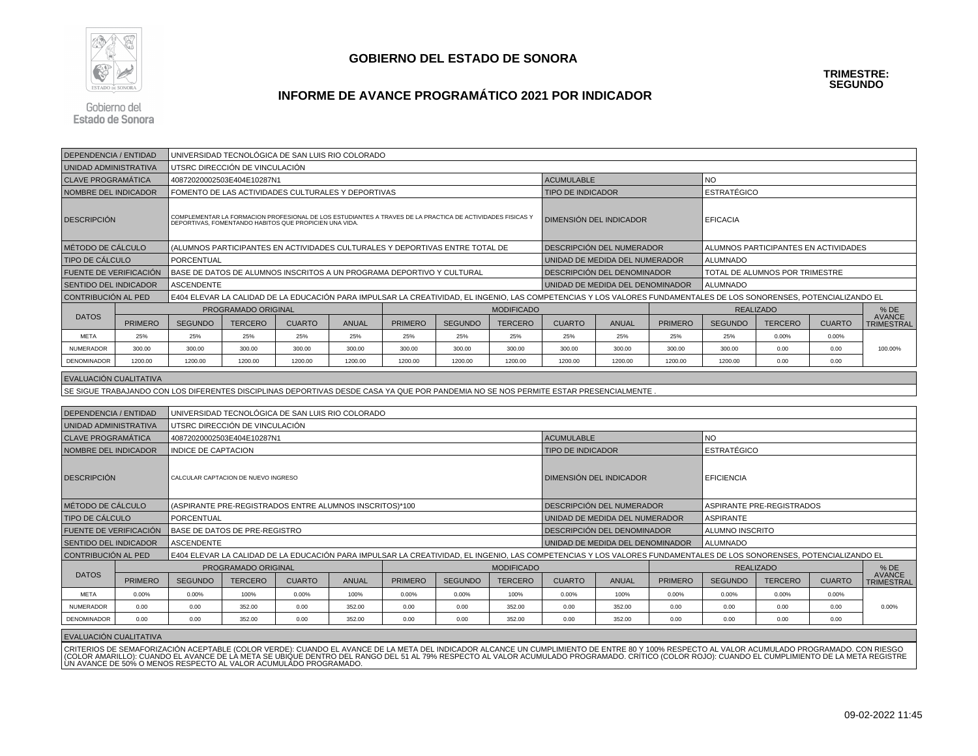

#### **INFORME DE AVANCE PROGRAMÁTICO 2021 POR INDICADOR**

Gobierno del **Estado de Sonora** 

| <b>DEPENDENCIA / ENTIDAD</b>                      |                                                                                                   |                     | UNIVERSIDAD TECNOLÓGICA DE SAN LUIS RIO COLORADO                               |               |              |                                                                                                           |                                                     |                         |                                                                                                                                                                     |              |                 |                                      |                |               |                                    |
|---------------------------------------------------|---------------------------------------------------------------------------------------------------|---------------------|--------------------------------------------------------------------------------|---------------|--------------|-----------------------------------------------------------------------------------------------------------|-----------------------------------------------------|-------------------------|---------------------------------------------------------------------------------------------------------------------------------------------------------------------|--------------|-----------------|--------------------------------------|----------------|---------------|------------------------------------|
| UNIDAD ADMINISTRATIVA                             |                                                                                                   |                     | UTSRC DIRECCIÓN DE VINCULACIÓN                                                 |               |              |                                                                                                           |                                                     |                         |                                                                                                                                                                     |              |                 |                                      |                |               |                                    |
| <b>CLAVE PROGRAMÁTICA</b>                         |                                                                                                   |                     | 40872020002503E404E10287N1                                                     |               |              |                                                                                                           |                                                     |                         | <b>ACUMULABLE</b>                                                                                                                                                   |              |                 | <b>NO</b>                            |                |               |                                    |
| NOMBRE DEL INDICADOR                              |                                                                                                   |                     | FOMENTO DE LAS ACTIVIDADES CULTURALES Y DEPORTIVAS<br><b>TIPO DE INDICADOR</b> |               |              |                                                                                                           |                                                     |                         |                                                                                                                                                                     |              |                 | <b>ESTRATÉGICO</b>                   |                |               |                                    |
| <b>DESCRIPCIÓN</b>                                |                                                                                                   |                     | DEPORTIVAS, FOMENTANDO HABITOS QUE PROPICIEN UNA VIDA.                         |               |              | COMPLEMENTAR LA FORMACION PROFESIONAL DE LOS ESTUDIANTES A TRAVES DE LA PRACTICA DE ACTIVIDADES FISICAS Y |                                                     | DIMENSIÓN DEL INDICADOR |                                                                                                                                                                     |              | <b>EFICACIA</b> |                                      |                |               |                                    |
|                                                   | MÉTODO DE CÁLCULO<br>(ALUMNOS PARTICIPANTES EN ACTIVIDADES CULTURALES Y DEPORTIVAS ENTRE TOTAL DE |                     |                                                                                |               |              |                                                                                                           |                                                     |                         | DESCRIPCIÓN DEL NUMERADOR                                                                                                                                           |              |                 | ALUMNOS PARTICIPANTES EN ACTIVIDADES |                |               |                                    |
| <b>TIPO DE CÁLCULO</b>                            |                                                                                                   | PORCENTUAL          |                                                                                |               |              |                                                                                                           |                                                     |                         | UNIDAD DE MEDIDA DEL NUMERADOR                                                                                                                                      |              |                 | <b>ALUMNADO</b>                      |                |               |                                    |
| <b>FUENTE DE VERIFICACIÓN</b>                     |                                                                                                   |                     |                                                                                |               |              | BASE DE DATOS DE ALUMNOS INSCRITOS A UN PROGRAMA DEPORTIVO Y CULTURAL                                     |                                                     |                         | DESCRIPCIÓN DEL DENOMINADOR                                                                                                                                         |              |                 | TOTAL DE ALUMNOS POR TRIMESTRE       |                |               |                                    |
| <b>SENTIDO DEL INDICADOR</b><br><b>ASCENDENTE</b> |                                                                                                   |                     |                                                                                |               |              |                                                                                                           | UNIDAD DE MEDIDA DEL DENOMINADOR<br><b>ALUMNADO</b> |                         |                                                                                                                                                                     |              |                 |                                      |                |               |                                    |
| CONTRIBUCIÓN AL PED                               |                                                                                                   |                     |                                                                                |               |              |                                                                                                           |                                                     |                         | E404 ELEVAR LA CALIDAD DE LA EDUCACIÓN PARA IMPULSAR LA CREATIVIDAD. EL INGENIO, LAS COMPETENCIAS Y LOS VALORES FUNDAMENTALES DE LOS SONORENSES, POTENCIALIZANDO EL |              |                 |                                      |                |               |                                    |
|                                                   |                                                                                                   |                     | <b>PROGRAMADO ORIGINAL</b>                                                     |               |              | <b>MODIFICADO</b>                                                                                         |                                                     |                         |                                                                                                                                                                     |              |                 | <b>REALIZADO</b>                     |                |               | $%$ DE                             |
| <b>DATOS</b>                                      | <b>PRIMERO</b>                                                                                    | <b>SEGUNDO</b>      | <b>TERCERO</b>                                                                 | <b>CUARTO</b> | <b>ANUAL</b> | <b>PRIMERO</b>                                                                                            | <b>SEGUNDO</b>                                      | <b>TERCERO</b>          | <b>CUARTO</b>                                                                                                                                                       | <b>ANUAL</b> | <b>PRIMERO</b>  | <b>SEGUNDO</b>                       | <b>TERCERO</b> | <b>CUARTO</b> | <b>AVANCE</b><br><b>TRIMESTRAL</b> |
| <b>META</b>                                       | 25%                                                                                               | 25%                 | 25%                                                                            | 25%           | 25%          | 25%                                                                                                       | 25%                                                 | 25%                     | 25%                                                                                                                                                                 | 25%          | 25%             | 25%                                  | 0.00%          | 0.00%         |                                    |
| <b>NUMERADOR</b>                                  | 300.00                                                                                            | 300.00              | 300.00                                                                         | 300.00        | 300.00       | 300.00                                                                                                    | 300.00                                              | 300.00                  | 300.00                                                                                                                                                              | 300.00       | 300.00          | 300.00                               | 0.00           | 0.00          | 100.00%                            |
| DENOMINADOR                                       | 1200.00                                                                                           | 1200.00             | 1200.00                                                                        | 1200.00       | 1200.00      | 1200.00                                                                                                   | 1200.00                                             | 1200.00                 | 1200.00                                                                                                                                                             | 1200.00      | 1200.00         | 1200.00                              | 0.00           | 0.00          |                                    |
| I EVALUACIÓN CUALITATIVA                          |                                                                                                   |                     |                                                                                |               |              |                                                                                                           |                                                     |                         |                                                                                                                                                                     |              |                 |                                      |                |               |                                    |
|                                                   |                                                                                                   |                     |                                                                                |               |              |                                                                                                           |                                                     |                         | SE SIGUE TRABAJANDO CON LOS DIFERENTES DISCIPLINAS DEPORTIVAS DESDE CASA YA QUE POR PANDEMIA NO SE NOS PERMITE ESTAR PRESENCIALMENTE                                |              |                 |                                      |                |               |                                    |
|                                                   |                                                                                                   |                     |                                                                                |               |              |                                                                                                           |                                                     |                         |                                                                                                                                                                     |              |                 |                                      |                |               |                                    |
| <b>DEPENDENCIA / ENTIDAD</b>                      |                                                                                                   |                     | UNIVERSIDAD TECNOLÓGICA DE SAN LUIS RIO COLORADO                               |               |              |                                                                                                           |                                                     |                         |                                                                                                                                                                     |              |                 |                                      |                |               |                                    |
| <b>UNIDAD ADMINISTRATIVA</b>                      |                                                                                                   |                     | UTSRC DIRECCIÓN DE VINCULACIÓN                                                 |               |              |                                                                                                           |                                                     |                         |                                                                                                                                                                     |              |                 |                                      |                |               |                                    |
| <b>CLAVE PROGRAMÁTICA</b>                         |                                                                                                   |                     | 40872020002503E404E10287N1                                                     |               |              |                                                                                                           |                                                     |                         | <b>ACUMULABLE</b>                                                                                                                                                   |              |                 | <b>NO</b>                            |                |               |                                    |
| <b>NOMBRE DEL INDICADOR</b>                       |                                                                                                   | INDICE DE CAPTACION |                                                                                |               |              |                                                                                                           |                                                     |                         | <b>TIPO DE INDICADOR</b>                                                                                                                                            |              |                 | <b>ESTRATÉGICO</b>                   |                |               |                                    |
| <b>DESCRIPCIÓN</b>                                |                                                                                                   |                     | CALCULAR CAPTACION DE NUEVO INGRESO                                            |               |              |                                                                                                           |                                                     |                         | I DIMENSIÓN DEL INDICADOR                                                                                                                                           |              |                 | <b>EFICIENCIA</b>                    |                |               |                                    |

EVALUACIÓN CUALITATIVA

PRIMERO

0.00%

MÉTODO DE CÁLCULO

FUENTE DE VERIFICACIÓN

SENTIDO DEL INDICADOR

CONTRIBUCIÓN AL PED

BASE DE DATOS DE PRE-REGISTRO<br>ASCENDENTE

PROGRAMADO ORIGINAL

TIPO DE CÁLCULO

DATOS

META

NUMERADOR

DENOMINADOR

CRITERIOS DE SEMAFORIZACIÓN ACEPTABLE (COLOR VERDE): CUANDO EL AVANCE DE LA META DEL INDICADOR ALCANCE UN CUMPLIMIENTO DE ENTRE 80 Y 100% RESPECTO AL VALOR ACUMULADO PROGRAMADO. CON RIESGO<br>(COLOR AMARILLO): CUANDO EL AVANC

R | 0.00 | 0.00 | 0.00 | 0.00 | 0.00 | 0.00 | 0.00 | 0.00 | 0.00 | 0.00<br>R | 0.00 | 0.00 | 0.00 | 0.00 | 0.00 | 0.00 | 0.00 | 0.00 | 0.00 | 0.00

(ASPIRANTE PRE-REGISTRADOS ENTRE ALUMNOS INSCRITOS)\*100 DESCRIPCIÓN DEL NUMERADOR ASPIRANTE PRE-REGISTRADOS PORCENTUAL<br>PORCENTUAL ASPIRANTE

 $\%$  0.00% 100% 0.00% 100% 0.00% 0.00% 100% 0.00% 0.00% 0.00% 0.00% 0.00% 0.00% 0.00% 0.00%

R | 0.00 | 0.00 | 352.00 | 0.00 | 352.00 | 0.00 | 352.00 | 0.00 | 352.00 | 0.00 | 0.00 | 0.00 | 0.00 | 0.00% |

E404 ELEVAR LA CALIDAD DE LA EDUCACIÓN PARA IMPULSAR LA CREATIVIDAD, EL INGENIO, LAS COMPETENCIAS Y LOS VALORES FUNDAMENTALES DE LOS SONORENSES, POTENCIALIZANDO EL

MODIFICADO

O SEGUNDO TERCERO CUARTO ANUAL PRIMERO SEGUNDO TERCERO CUARTO ANUAL PRIMERO SEGUNDO TERCERO CUARTO TRIMESTRAL

UNIDAD DE MEDIDA DEL NUMERADOR ASPIRANTE<br>DESCRIPCIÓN DEL DENOMINADOR ALUMNO INSCRITO

REALIZADO % DE

DESCRIPCIÓN DEL DENOMINADOR ALUMNO INSTRUIDIO ALUMNO INSTRUIDIO ALUMNO INSTRUIDIO ALUMNO INSTRUIDIO ALUMNADO

UNIDAD DE MEDIDA DEL DENOMINADOR

% DE<br>AVANCE TRIMESTRAL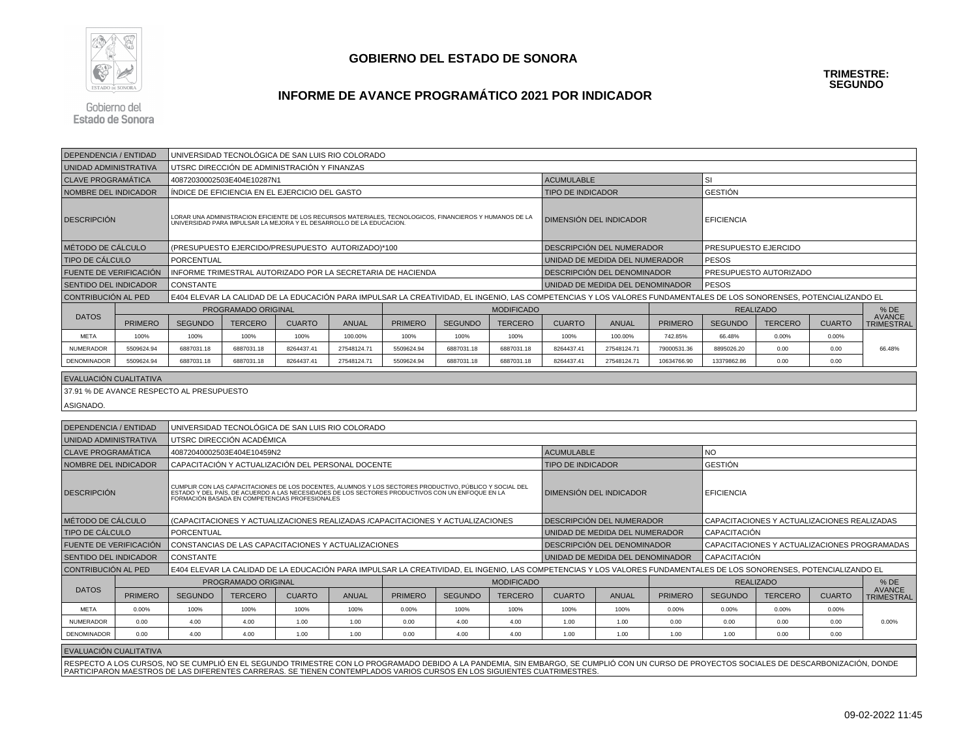

# **INFORME DE AVANCE PROGRAMÁTICO 2021 POR INDICADOR**

Gobierno del **Estado de Sonora** 

| DEPENDENCIA / ENTIDAD        |                | UNIVERSIDAD TECNOLÓGICA DE SAN LUIS RIO COLORADO |                                                     |               |              |                                                                                                                                                                                                                                   |                |                   |                                                                                                                                                                                            |                                  |                |                      |                                              |               |                                    |
|------------------------------|----------------|--------------------------------------------------|-----------------------------------------------------|---------------|--------------|-----------------------------------------------------------------------------------------------------------------------------------------------------------------------------------------------------------------------------------|----------------|-------------------|--------------------------------------------------------------------------------------------------------------------------------------------------------------------------------------------|----------------------------------|----------------|----------------------|----------------------------------------------|---------------|------------------------------------|
| UNIDAD ADMINISTRATIVA        |                |                                                  | UTSRC DIRECCIÓN DE ADMINISTRACIÓN Y FINANZAS        |               |              |                                                                                                                                                                                                                                   |                |                   |                                                                                                                                                                                            |                                  |                |                      |                                              |               |                                    |
| <b>CLAVE PROGRAMÁTICA</b>    |                |                                                  | 40872030002503E404E10287N1                          |               |              |                                                                                                                                                                                                                                   |                |                   | <b>ACUMULABLE</b>                                                                                                                                                                          |                                  |                | <b>SI</b>            |                                              |               |                                    |
| NOMBRE DEL INDICADOR         |                |                                                  | ÍNDICE DE EFICIENCIA EN EL EJERCICIO DEL GASTO      |               |              |                                                                                                                                                                                                                                   |                |                   | <b>TIPO DE INDICADOR</b>                                                                                                                                                                   |                                  |                | <b>GESTIÓN</b>       |                                              |               |                                    |
| <b>DESCRIPCIÓN</b>           |                |                                                  |                                                     |               |              | LORAR UNA ADMINISTRACION EFICIENTE DE LOS RECURSOS MATERIALES, TECNOLOGICOS, FINANCIEROS Y HUMANOS DE LA<br>UNIVERSIDAD PARA IMPULSAR LA MEJORA Y EL DESARROLLO DE LA EDUCACION.                                                  |                |                   |                                                                                                                                                                                            | DIMENSIÓN DEL INDICADOR          |                | <b>EFICIENCIA</b>    |                                              |               |                                    |
| MÉTODO DE CÁLCULO            |                |                                                  | (PRESUPUESTO EJERCIDO/PRESUPUESTO AUTORIZADO)*100   |               |              |                                                                                                                                                                                                                                   |                |                   |                                                                                                                                                                                            | DESCRIPCIÓN DEL NUMERADOR        |                | PRESUPUESTO EJERCIDO |                                              |               |                                    |
| <b>TIPO DE CÁLCULO</b>       |                | <b>PORCENTUAL</b>                                |                                                     |               |              |                                                                                                                                                                                                                                   |                |                   |                                                                                                                                                                                            | UNIDAD DE MEDIDA DEL NUMERADOR   |                | PESOS                |                                              |               |                                    |
| FUENTE DE VERIFICACIÓN       |                |                                                  |                                                     |               |              | INFORME TRIMESTRAL AUTORIZADO POR LA SECRETARIA DE HACIENDA                                                                                                                                                                       |                |                   |                                                                                                                                                                                            | DESCRIPCION DEL DENOMINADOR      |                |                      | PRESUPUESTO AUTORIZADO                       |               |                                    |
| <b>SENTIDO DEL INDICADOR</b> |                | <b>CONSTANTE</b>                                 |                                                     |               |              |                                                                                                                                                                                                                                   |                |                   |                                                                                                                                                                                            | UNIDAD DE MEDIDA DEL DENOMINADOR |                | <b>PESOS</b>         |                                              |               |                                    |
| CONTRIBUCIÓN AL PED          |                |                                                  |                                                     |               |              |                                                                                                                                                                                                                                   |                |                   | E404 ELEVAR LA CALIDAD DE LA EDUCACIÓN PARA IMPULSAR LA CREATIVIDAD, EL INGENIO, LAS COMPETENCIAS Y LOS VALORES FUNDAMENTALES DE LOS SONORENSES, POTENCIALIZANDO EL                        |                                  |                |                      |                                              |               |                                    |
|                              |                |                                                  | PROGRAMADO ORIGINAL                                 |               |              |                                                                                                                                                                                                                                   |                | <b>MODIFICADO</b> |                                                                                                                                                                                            |                                  |                |                      | <b>REALIZADO</b>                             |               | %DE                                |
| <b>DATOS</b>                 | <b>PRIMERO</b> | <b>SEGUNDO</b>                                   | <b>TERCERO</b>                                      | <b>CUARTO</b> | ANUAL        | <b>PRIMERO</b>                                                                                                                                                                                                                    | <b>SEGUNDO</b> | <b>TERCERO</b>    | <b>CUARTO</b>                                                                                                                                                                              | <b>ANUAL</b>                     | <b>PRIMERO</b> | <b>SEGUNDO</b>       | <b>TERCERO</b>                               | <b>CUARTO</b> | <b>AVANCE</b><br><b>TRIMESTRAL</b> |
| <b>META</b>                  | 100%           | 100%                                             | 100%                                                | 100%          | 100.00%      | 100%                                                                                                                                                                                                                              | 100%           | 100%              | 100%                                                                                                                                                                                       | 100.00%                          | 742.85%        | 66.48%               | 0.00%                                        | 0.00%         |                                    |
| NUMERADOR                    | 5509624.94     | 6887031.18                                       | 6887031.18                                          | 8264437.41    | 27548124.71  | 5509624.94                                                                                                                                                                                                                        | 6887031.18     | 6887031.18        | 8264437.41                                                                                                                                                                                 | 27548124.71                      | 79000531.36    | 8895026.20           | 0.00                                         | 0.00          | 66.48%                             |
| DENOMINADOR                  | 5509624.94     | 6887031.18                                       | 6887031.18                                          | 8264437.41    | 27548124.71  | 5509624.94                                                                                                                                                                                                                        | 6887031.18     | 6887031.18        | 8264437.41                                                                                                                                                                                 | 27548124.71                      | 10634766.90    | 13379862.86          | 0.00                                         | 0.00          |                                    |
| EVALUACIÓN CUALITATIVA       |                |                                                  |                                                     |               |              |                                                                                                                                                                                                                                   |                |                   |                                                                                                                                                                                            |                                  |                |                      |                                              |               |                                    |
|                              |                | 37.91 % DE AVANCE RESPECTO AL PRESUPUESTO        |                                                     |               |              |                                                                                                                                                                                                                                   |                |                   |                                                                                                                                                                                            |                                  |                |                      |                                              |               |                                    |
|                              |                |                                                  |                                                     |               |              |                                                                                                                                                                                                                                   |                |                   |                                                                                                                                                                                            |                                  |                |                      |                                              |               |                                    |
| ASIGNADO.                    |                |                                                  |                                                     |               |              |                                                                                                                                                                                                                                   |                |                   |                                                                                                                                                                                            |                                  |                |                      |                                              |               |                                    |
| <b>DEPENDENCIA / ENTIDAD</b> |                |                                                  | UNIVERSIDAD TECNOLÓGICA DE SAN LUIS RIO COLORADO    |               |              |                                                                                                                                                                                                                                   |                |                   |                                                                                                                                                                                            |                                  |                |                      |                                              |               |                                    |
| UNIDAD ADMINISTRATIVA        |                |                                                  | UTSRC DIRECCIÓN ACADÉMICA                           |               |              |                                                                                                                                                                                                                                   |                |                   |                                                                                                                                                                                            |                                  |                |                      |                                              |               |                                    |
| <b>CLAVE PROGRAMATICA</b>    |                |                                                  | 40872040002503E404E10459N2                          |               |              |                                                                                                                                                                                                                                   |                |                   | <b>ACUMULABLE</b><br>NO.                                                                                                                                                                   |                                  |                |                      |                                              |               |                                    |
| NOMBRE DEL INDICADOR         |                |                                                  | CAPACITACIÓN Y ACTUALIZACIÓN DEL PERSONAL DOCENTE   |               |              |                                                                                                                                                                                                                                   |                |                   | <b>TIPO DE INDICADOR</b>                                                                                                                                                                   |                                  |                | GESTIÓN              |                                              |               |                                    |
| <b>DESCRIPCIÓN</b>           |                |                                                  |                                                     |               |              | CUMPLIR CON LAS CAPACITACIONES DE LOS DOCENTES, ALUMNOS Y LOS SECTORES PRODUCTIVO, PÚBLICO Y SOCIAL DEL<br>ESTADO Y DEL PAÍS, DE ACUERDO A LAS NECESIDADES DE LOS SECTORES PRODUCTIVOS CON UN ENFOQUE EN LA<br>FORMACIÓN BASADA E |                |                   |                                                                                                                                                                                            | DIMENSIÓN DEL INDICADOR          |                | <b>EFICIENCIA</b>    |                                              |               |                                    |
| MÉTODO DE CÁLCULO            |                |                                                  |                                                     |               |              | (CAPACITACIONES Y ACTUALIZACIONES REALIZADAS /CAPACITACIONES Y ACTUALIZACIONES                                                                                                                                                    |                |                   |                                                                                                                                                                                            | DESCRIPCIÓN DEL NUMERADOR        |                |                      | CAPACITACIONES Y ACTUALIZACIONES REALIZADAS  |               |                                    |
| TIPO DE CÁLCULO              |                | PORCENTUAL                                       |                                                     |               |              |                                                                                                                                                                                                                                   |                |                   |                                                                                                                                                                                            | UNIDAD DE MEDIDA DEL NUMERADOR   |                | CAPACITACIÓN         |                                              |               |                                    |
| FUENTE DE VERIFICACIÓN       |                |                                                  | CONSTANCIAS DE LAS CAPACITACIONES Y ACTUALIZACIONES |               |              |                                                                                                                                                                                                                                   |                |                   |                                                                                                                                                                                            | DESCRIPCIÓN DEL DENOMINADOR      |                |                      | CAPACITACIONES Y ACTUALIZACIONES PROGRAMADAS |               |                                    |
| SENTIDO DEL INDICADOR        |                | <b>CONSTANTE</b>                                 |                                                     |               |              |                                                                                                                                                                                                                                   |                |                   |                                                                                                                                                                                            | UNIDAD DE MEDIDA DEL DENOMINADOR |                | CAPACITACIÓN         |                                              |               |                                    |
| CONTRIBUCIÓN AL PED          |                |                                                  |                                                     |               |              |                                                                                                                                                                                                                                   |                |                   | E404 ELEVAR LA CALIDAD DE LA EDUCACIÓN PARA IMPULSAR LA CREATIVIDAD, EL INGENIO, LAS COMPETENCIAS Y LOS VALORES FUNDAMENTALES DE LOS SONORENSES, POTENCIALIZANDO EL                        |                                  |                |                      |                                              |               |                                    |
| <b>DATOS</b>                 |                |                                                  | PROGRAMADO ORIGINAL                                 |               |              |                                                                                                                                                                                                                                   |                | <b>MODIFICADO</b> |                                                                                                                                                                                            |                                  |                |                      | <b>REALIZADO</b>                             |               | % DE<br><b>AVANCE</b>              |
|                              | <b>PRIMERO</b> | <b>SEGUNDO</b>                                   | <b>TERCERO</b>                                      | <b>CUARTO</b> | <b>ANUAL</b> | <b>PRIMERO</b>                                                                                                                                                                                                                    | <b>SEGUNDO</b> | <b>TERCERO</b>    | <b>CUARTO</b>                                                                                                                                                                              | <b>ANUAL</b>                     | <b>PRIMERO</b> | <b>SEGUNDO</b>       | <b>TERCERO</b>                               | <b>CUARTO</b> | <b>TRIMESTRAL</b>                  |
| <b>META</b>                  | 0.00%          | 100%                                             | 100%                                                | 100%          | 100%         | 0.00%                                                                                                                                                                                                                             | 100%           | 100%              | 100%                                                                                                                                                                                       | 100%                             | 0.00%          | 0.00%                | 0.00%                                        | 0.00%         |                                    |
| <b>NUMERADOR</b>             | 0.00           | 4.00                                             | 4.00                                                | 1.00          | 1.00         | 0.00                                                                                                                                                                                                                              | 4.00           | 4.00              | 1.00                                                                                                                                                                                       | 1.00                             | 0.00           | 0.00                 | 0.00                                         | 0.00          | 0.00%                              |
| <b>DENOMINADOR</b>           | 0.00           | 4.00                                             | 4.00                                                | 1.00          | 1.00         | 0.00                                                                                                                                                                                                                              | 4.00           | 4.00              | 1.00                                                                                                                                                                                       | 1.00                             | 1.00           | 1.00                 | 0.00                                         | 0.00          |                                    |
| EVALUACIÓN CUALITATIVA       |                |                                                  |                                                     |               |              |                                                                                                                                                                                                                                   |                |                   |                                                                                                                                                                                            |                                  |                |                      |                                              |               |                                    |
|                              |                |                                                  |                                                     |               |              |                                                                                                                                                                                                                                   |                |                   | RESPECTO A LOS CURSOS, NO SE CUMPLIÓ EN EL SEGUNDO TRIMESTRE CON LO PROGRAMADO DEBIDO A LA PANDEMIA, SIN EMBARGO, SE CUMPLIÓ CON UN CURSO DE PROYECTOS SOCIALES DE DESCARBONIZACIÓN, DONDE |                                  |                |                      |                                              |               |                                    |
|                              |                |                                                  |                                                     |               |              |                                                                                                                                                                                                                                   |                |                   | PARTICIPARON MAESTROS DE LAS DIFERENTES CARRERAS. SE TIENEN CONTEMPLADOS VARIOS CURSOS EN LOS SIGUIENTES CUATRIMESTRES                                                                     |                                  |                |                      |                                              |               |                                    |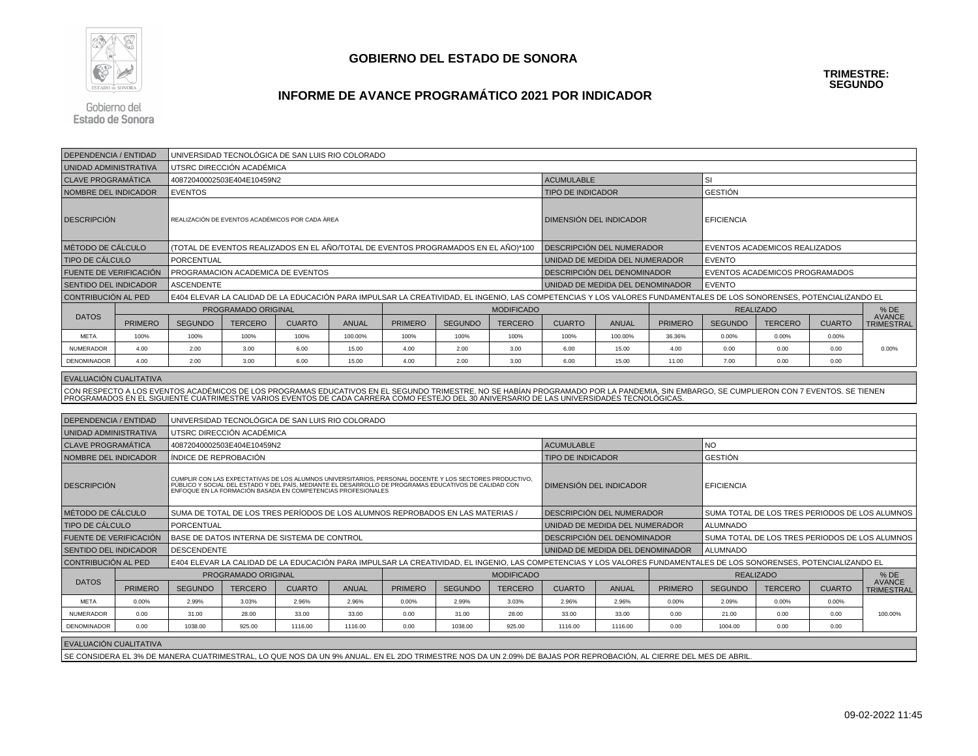

# **INFORME DE AVANCE PROGRAMÁTICO 2021 POR INDICADOR**

Gobierno del **Estado de Sonora** 

| <b>DEPENDENCIA / ENTIDAD</b>  |                | UNIVERSIDAD TECNOLÓGICA DE SAN LUIS RIO COLORADO                                   |                            |                                                  |              |                                                                                                                                                                                                                                      |                |                   |                                                                                                                                                                                                                                                                                                                                       |                           |                |                                                                                                                                                                     |                                |               |                                                |
|-------------------------------|----------------|------------------------------------------------------------------------------------|----------------------------|--------------------------------------------------|--------------|--------------------------------------------------------------------------------------------------------------------------------------------------------------------------------------------------------------------------------------|----------------|-------------------|---------------------------------------------------------------------------------------------------------------------------------------------------------------------------------------------------------------------------------------------------------------------------------------------------------------------------------------|---------------------------|----------------|---------------------------------------------------------------------------------------------------------------------------------------------------------------------|--------------------------------|---------------|------------------------------------------------|
| UNIDAD ADMINISTRATIVA         |                |                                                                                    | UTSRC DIRECCIÓN ACADÉMICA  |                                                  |              |                                                                                                                                                                                                                                      |                |                   |                                                                                                                                                                                                                                                                                                                                       |                           |                |                                                                                                                                                                     |                                |               |                                                |
| <b>CLAVE PROGRAMÁTICA</b>     |                |                                                                                    | 40872040002503E404E10459N2 |                                                  |              |                                                                                                                                                                                                                                      |                |                   | <b>ACUMULABLE</b>                                                                                                                                                                                                                                                                                                                     |                           |                | SI                                                                                                                                                                  |                                |               |                                                |
| NOMBRE DEL INDICADOR          |                | <b>EVENTOS</b>                                                                     |                            |                                                  |              |                                                                                                                                                                                                                                      |                |                   | <b>TIPO DE INDICADOR</b>                                                                                                                                                                                                                                                                                                              |                           |                | <b>GESTIÓN</b>                                                                                                                                                      |                                |               |                                                |
| <b>DESCRIPCION</b>            |                |                                                                                    |                            | REALIZACIÓN DE EVENTOS ACADÉMICOS POR CADA ÁREA  |              |                                                                                                                                                                                                                                      |                |                   | DIMENSIÓN DEL INDICADOR                                                                                                                                                                                                                                                                                                               |                           |                | <b>EFICIENCIA</b>                                                                                                                                                   |                                |               |                                                |
| MÉTODO DE CÁLCULO             |                | (TOTAL DE EVENTOS REALIZADOS EN EL AÑO/TOTAL DE EVENTOS PROGRAMADOS EN EL AÑO)*100 |                            |                                                  |              |                                                                                                                                                                                                                                      |                |                   |                                                                                                                                                                                                                                                                                                                                       | DESCRIPCIÓN DEL NUMERADOR |                | EVENTOS ACADEMICOS REALIZADOS                                                                                                                                       |                                |               |                                                |
| <b>TIPO DE CÁLCULO</b>        |                | PORCENTUAL                                                                         |                            |                                                  |              |                                                                                                                                                                                                                                      |                |                   | UNIDAD DE MEDIDA DEL NUMERADOR                                                                                                                                                                                                                                                                                                        |                           |                | <b>EVENTO</b>                                                                                                                                                       |                                |               |                                                |
| FUENTE DE VERIFICACIÓN        |                |                                                                                    |                            | PROGRAMACION ACADEMICA DE EVENTOS                |              |                                                                                                                                                                                                                                      |                |                   | DESCRIPCIÓN DEL DENOMINADOR                                                                                                                                                                                                                                                                                                           |                           |                |                                                                                                                                                                     | EVENTOS ACADEMICOS PROGRAMADOS |               |                                                |
| <b>SENTIDO DEL INDICADOR</b>  |                | <b>ASCENDENTE</b>                                                                  |                            |                                                  |              |                                                                                                                                                                                                                                      |                |                   | UNIDAD DE MEDIDA DEL DENOMINADOR                                                                                                                                                                                                                                                                                                      |                           |                | <b>EVENTO</b>                                                                                                                                                       |                                |               |                                                |
| CONTRIBUCIÓN AL PED           |                |                                                                                    |                            |                                                  |              |                                                                                                                                                                                                                                      |                |                   |                                                                                                                                                                                                                                                                                                                                       |                           |                | E404 ELEVAR LA CALIDAD DE LA EDUCACIÓN PARA IMPULSAR LA CREATIVIDAD, EL INGENIO, LAS COMPETENCIAS Y LOS VALORES FUNDAMENTALES DE LOS SONORENSES, POTENCIALIZANDO EL |                                |               |                                                |
|                               |                |                                                                                    | PROGRAMADO ORIGINAL        |                                                  |              |                                                                                                                                                                                                                                      |                | <b>MODIFICADO</b> |                                                                                                                                                                                                                                                                                                                                       |                           |                | <b>REALIZADO</b>                                                                                                                                                    |                                |               | % DE                                           |
| <b>DATOS</b>                  | <b>PRIMERO</b> | <b>SEGUNDO</b>                                                                     | <b>TERCERO</b>             | <b>CUARTO</b>                                    | <b>ANUAL</b> | <b>PRIMERO</b>                                                                                                                                                                                                                       | <b>SEGUNDO</b> | <b>TERCERO</b>    | <b>CUARTO</b>                                                                                                                                                                                                                                                                                                                         | <b>ANUAL</b>              | <b>PRIMERO</b> | <b>SEGUNDO</b>                                                                                                                                                      | <b>TERCERO</b>                 | <b>CUARTO</b> | <b>AVANCE</b><br><b>TRIMESTRAL</b>             |
| <b>META</b>                   | 100%           | 100%                                                                               | 100%                       | 100%                                             | 100.00%      | 100%                                                                                                                                                                                                                                 | 100%           | 100%              | 100%                                                                                                                                                                                                                                                                                                                                  | 100.00%                   | 36.36%         | 0.00%                                                                                                                                                               | 0.00%                          | 0.00%         |                                                |
| NUMERADOR                     | 4.00           | 2.00                                                                               | 3.00                       | 6.00                                             | 15.00        | 4.00                                                                                                                                                                                                                                 | 2.00           | 3.00              | 6.00                                                                                                                                                                                                                                                                                                                                  | 15.00                     | 4.00           | 0.00                                                                                                                                                                | 0.00                           | 0.00          | 0.00%                                          |
| DENOMINADOR                   | 4.00           | 2.00                                                                               | 3.00                       | 6.00                                             | 15.00        | 4.00                                                                                                                                                                                                                                 | 2.00           | 3.00              | 6.00                                                                                                                                                                                                                                                                                                                                  | 15.00                     | 11.00          | 7.00                                                                                                                                                                | 0.00                           | 0.00          |                                                |
|                               |                |                                                                                    |                            |                                                  |              |                                                                                                                                                                                                                                      |                |                   |                                                                                                                                                                                                                                                                                                                                       |                           |                |                                                                                                                                                                     |                                |               |                                                |
| EVALUACIÓN CUALITATIVA        |                |                                                                                    |                            |                                                  |              |                                                                                                                                                                                                                                      |                |                   |                                                                                                                                                                                                                                                                                                                                       |                           |                |                                                                                                                                                                     |                                |               |                                                |
|                               |                |                                                                                    |                            |                                                  |              |                                                                                                                                                                                                                                      |                |                   | CON RESPECTO A LOS EVENTOS ACADÉMICOS DE LOS PROGRAMAS EDUCATIVOS EN EL SEGUNDO TRIMESTRE, NO SE HABÍAN PROGRAMADO POR LA PANDEMIA, SIN EMBARGO, SE CUMPLIERON CON 7 EVENTOS. SE TIENEN<br>PROGRAMADOS EN EL SIGUIENTE CUATRIMESTRE VARIOS EVENTOS DE CADA CARRERA COMO FESTEJO DEL 30 ANIVERSARIO DE LAS UNIVERSIDADES TECNOLÓGICAS. |                           |                |                                                                                                                                                                     |                                |               |                                                |
|                               |                |                                                                                    |                            |                                                  |              |                                                                                                                                                                                                                                      |                |                   |                                                                                                                                                                                                                                                                                                                                       |                           |                |                                                                                                                                                                     |                                |               |                                                |
| DEPENDENCIA / ENTIDAD         |                |                                                                                    |                            | UNIVERSIDAD TECNOLÓGICA DE SAN LUIS RIO COLORADO |              |                                                                                                                                                                                                                                      |                |                   |                                                                                                                                                                                                                                                                                                                                       |                           |                |                                                                                                                                                                     |                                |               |                                                |
| UNIDAD ADMINISTRATIVA         |                |                                                                                    | UTSRC DIRECCIÓN ACADÉMICA  |                                                  |              |                                                                                                                                                                                                                                      |                |                   |                                                                                                                                                                                                                                                                                                                                       |                           |                |                                                                                                                                                                     |                                |               |                                                |
| <b>CLAVE PROGRAMÁTICA</b>     |                |                                                                                    | 40872040002503E404E10459N2 |                                                  |              |                                                                                                                                                                                                                                      |                |                   | <b>ACUMULABLE</b><br><b>NO</b>                                                                                                                                                                                                                                                                                                        |                           |                |                                                                                                                                                                     |                                |               |                                                |
| NOMBRE DEL INDICADOR          |                | ÍNDICE DE REPROBACIÓN                                                              |                            |                                                  |              |                                                                                                                                                                                                                                      |                |                   | <b>GESTIÓN</b><br><b>TIPO DE INDICADOR</b>                                                                                                                                                                                                                                                                                            |                           |                |                                                                                                                                                                     |                                |               |                                                |
| <b>DESCRIPCIÓN</b>            |                |                                                                                    |                            |                                                  |              | CUMPLIR CON LAS EXPECTATIVAS DE LOS ALUMNOS UNIVERSITARIOS, PERSONAL DOCENTE Y LOS SECTORES PRODUCTIVO,<br>PÚBLICO Y SOCIAL DEL ESTADO Y DEL PAÍS, MEDIANTE EL DESARROLLO DE PROGRAMAS EDUCATIVOS DE CALIDAD CON<br>ENFOQUE EN LA FO |                |                   | DIMENSIÓN DEL INDICADOR                                                                                                                                                                                                                                                                                                               |                           |                | <b>EFICIENCIA</b>                                                                                                                                                   |                                |               |                                                |
| MÉTODO DE CÁLCULO             |                |                                                                                    |                            |                                                  |              | SUMA DE TOTAL DE LOS TRES PERÍODOS DE LOS ALUMNOS REPROBADOS EN LAS MATERIAS,                                                                                                                                                        |                |                   | DESCRIPCIÓN DEL NUMERADOR                                                                                                                                                                                                                                                                                                             |                           |                |                                                                                                                                                                     |                                |               | SUMA TOTAL DE LOS TRES PERIODOS DE LOS ALUMNOS |
| <b>TIPO DE CÁLCULO</b>        |                | PORCENTUAL                                                                         |                            |                                                  |              |                                                                                                                                                                                                                                      |                |                   | UNIDAD DE MEDIDA DEL NUMERADOR                                                                                                                                                                                                                                                                                                        |                           |                | <b>ALUMNADO</b>                                                                                                                                                     |                                |               |                                                |
| <b>FUENTE DE VERIFICACIÓN</b> |                |                                                                                    |                            | BASE DE DATOS INTERNA DE SISTEMA DE CONTROL      |              |                                                                                                                                                                                                                                      |                |                   | DESCRIPCION DEL DENOMINADOR                                                                                                                                                                                                                                                                                                           |                           |                |                                                                                                                                                                     |                                |               | SUMA TOTAL DE LOS TRES PERIODOS DE LOS ALUMNOS |
| SENTIDO DEL INDICADOR         |                | <b>DESCENDENTE</b>                                                                 |                            |                                                  |              |                                                                                                                                                                                                                                      |                |                   | UNIDAD DE MEDIDA DEL DENOMINADOR                                                                                                                                                                                                                                                                                                      |                           |                | <b>ALUMNADO</b>                                                                                                                                                     |                                |               |                                                |
| CONTRIBUCIÓN AL PED           |                |                                                                                    |                            |                                                  |              |                                                                                                                                                                                                                                      |                |                   | E404 ELEVAR LA CALIDAD DE LA EDUCACIÓN PARA IMPULSAR LA CREATIVIDAD, EL INGENIO, LAS COMPETENCIAS Y LOS VALORES FUNDAMENTALES DE LOS SONORENSES, POTENCIALIZANDO EL                                                                                                                                                                   |                           |                |                                                                                                                                                                     |                                |               |                                                |
|                               |                |                                                                                    | PROGRAMADO ORIGINAL        |                                                  |              |                                                                                                                                                                                                                                      |                | <b>MODIFICADO</b> |                                                                                                                                                                                                                                                                                                                                       |                           |                |                                                                                                                                                                     | <b>REALIZADO</b>               |               | $%$ DE                                         |
| <b>DATOS</b>                  | <b>PRIMERO</b> | <b>SEGUNDO</b>                                                                     | <b>TERCERO</b>             | <b>CUARTO</b>                                    | <b>ANUAL</b> | <b>PRIMERO</b>                                                                                                                                                                                                                       | <b>SEGUNDO</b> | <b>TERCERO</b>    | <b>CUARTO</b>                                                                                                                                                                                                                                                                                                                         | <b>ANUAL</b>              | <b>PRIMERO</b> | <b>SEGUNDO</b>                                                                                                                                                      | <b>TERCERO</b>                 | <b>CUARTO</b> | <b>AVANCE</b><br><b>TRIMESTRAL</b>             |
| <b>META</b>                   | 0.00%          | 2.99%                                                                              | 3.03%                      | 2.96%                                            | 2.96%        | 0.00%                                                                                                                                                                                                                                | 2.99%          | 3.03%             | 2.96%                                                                                                                                                                                                                                                                                                                                 | 2.96%                     | 0.00%          | 2.09%                                                                                                                                                               | 0.00%                          | 0.00%         |                                                |
| NUMERADOR                     | 0.00           | 31.00                                                                              | 28.00                      | 33.00                                            | 33.00        | 0.00                                                                                                                                                                                                                                 | 31.00          | 28.00             | 33.00                                                                                                                                                                                                                                                                                                                                 | 33.00                     | 0.00           | 21.00                                                                                                                                                               | 0.00                           | 0.00          | 100.00%                                        |
| <b>DENOMINADOR</b>            | 0.00           | 1038.00                                                                            | 925.00                     | 1116.00                                          | 1116.00      | 0.00                                                                                                                                                                                                                                 | 1038.00        | 925.00            | 1116.00                                                                                                                                                                                                                                                                                                                               | 1116.00                   | 0.00           | 1004.00                                                                                                                                                             | 0.00                           | 0.00          |                                                |
| EVALUACIÓN CUALITATIVA        |                |                                                                                    |                            |                                                  |              |                                                                                                                                                                                                                                      |                |                   |                                                                                                                                                                                                                                                                                                                                       |                           |                |                                                                                                                                                                     |                                |               |                                                |
|                               |                |                                                                                    |                            |                                                  |              |                                                                                                                                                                                                                                      |                |                   | SE CONSIDERA EL 3% DE MANERA CUATRIMESTRAL, LO QUE NOS DA UN 9% ANUAL. EN EL 2DO TRIMESTRE NOS DA UN 2.09% DE BAJAS POR REPROBACIÓN, AL CIERRE DEL MES DE ABRIL                                                                                                                                                                       |                           |                |                                                                                                                                                                     |                                |               |                                                |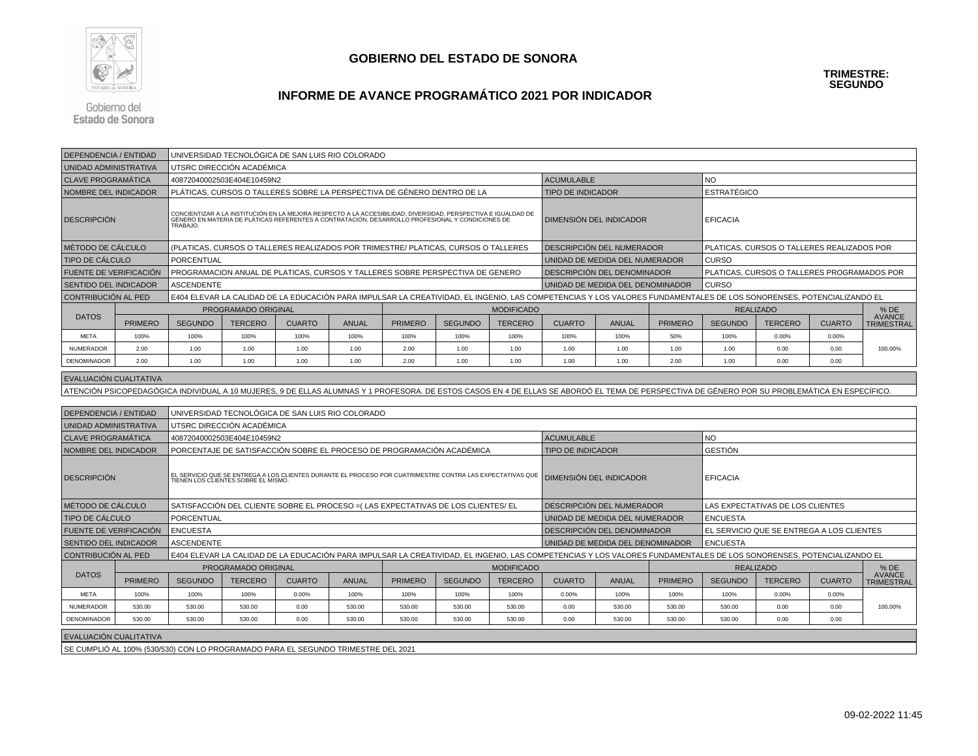

# **INFORME DE AVANCE PROGRAMÁTICO 2021 POR INDICADOR**

Gobierno del **Estado de Sonora** 

| <b>DEPENDENCIA / ENTIDAD</b>  |                |                                                                                    | UNIVERSIDAD TECNOLÓGICA DE SAN LUIS RIO COLORADO |               |              |                                                                                                                                                                                                                               |                |                   |                                                                                                                                                                                                |                                  |                |                                            |                                             |               |                                    |
|-------------------------------|----------------|------------------------------------------------------------------------------------|--------------------------------------------------|---------------|--------------|-------------------------------------------------------------------------------------------------------------------------------------------------------------------------------------------------------------------------------|----------------|-------------------|------------------------------------------------------------------------------------------------------------------------------------------------------------------------------------------------|----------------------------------|----------------|--------------------------------------------|---------------------------------------------|---------------|------------------------------------|
| UNIDAD ADMINISTRATIVA         |                |                                                                                    | UTSRC DIRECCIÓN ACADÉMICA                        |               |              |                                                                                                                                                                                                                               |                |                   |                                                                                                                                                                                                |                                  |                |                                            |                                             |               |                                    |
| <b>CLAVE PROGRAMÁTICA</b>     |                |                                                                                    | 40872040002503E404E10459N2                       |               |              |                                                                                                                                                                                                                               |                |                   | <b>ACUMULABLE</b>                                                                                                                                                                              |                                  |                | <b>NO</b>                                  |                                             |               |                                    |
| NOMBRE DEL INDICADOR          |                |                                                                                    |                                                  |               |              | PLÁTICAS. CURSOS O TALLERES SOBRE LA PERSPECTIVA DE GÉNERO DENTRO DE LA                                                                                                                                                       |                |                   | <b>TIPO DE INDICADOR</b>                                                                                                                                                                       |                                  |                | ESTRATÉGICO                                |                                             |               |                                    |
| <b>DESCRIPCION</b>            |                |                                                                                    |                                                  |               |              | CONCIENTIZAR A LA INSTITUCIÓN EN LA MEJORA RESPECTO A LA ACCESIBILIDAD, DIVERSIDAD, PERSPECTIVA E IGUALDAD DE<br>GÉNERO EN MATERIA DE PLÁTICAS REFERENTES A CONTRATACIÓN, DESARROLLO PROFESIONAL Y CONDICIONES DE<br>TRABAJO. |                |                   |                                                                                                                                                                                                | DIMENSIÓN DEL INDICADOR          |                | <b>EFICACIA</b>                            |                                             |               |                                    |
| MÉTODO DE CÁLCULO             |                | (PLATICAS, CURSOS O TALLERES REALIZADOS POR TRIMESTRE/ PLATICAS, CURSOS O TALLERES |                                                  |               |              |                                                                                                                                                                                                                               |                |                   |                                                                                                                                                                                                | DESCRIPCIÓN DEL NUMERADOR        |                | PLATICAS, CURSOS O TALLERES REALIZADOS POR |                                             |               |                                    |
| <b>TIPO DE CÁLCULO</b>        |                | <b>PORCENTUAL</b>                                                                  |                                                  |               |              |                                                                                                                                                                                                                               |                |                   |                                                                                                                                                                                                | UNIDAD DE MEDIDA DEL NUMERADOR   |                | <b>CURSO</b>                               |                                             |               |                                    |
| <b>FUENTE DE VERIFICACIÓN</b> |                |                                                                                    |                                                  |               |              | PROGRAMACION ANUAL DE PLATICAS, CURSOS Y TALLERES SOBRE PERSPECTIVA DE GENERO                                                                                                                                                 |                |                   |                                                                                                                                                                                                | DESCRIPCION DEL DENOMINADOR      |                |                                            | PLATICAS, CURSOS O TALLERES PROGRAMADOS POR |               |                                    |
| <b>SENTIDO DEL INDICADOR</b>  |                | <b>ASCENDENTE</b>                                                                  |                                                  |               |              |                                                                                                                                                                                                                               |                |                   |                                                                                                                                                                                                | UNIDAD DE MEDIDA DEL DENOMINADOR |                | <b>CURSO</b>                               |                                             |               |                                    |
| CONTRIBUCIÓN AL PED           |                |                                                                                    |                                                  |               |              |                                                                                                                                                                                                                               |                |                   | E404 ELEVAR LA CALIDAD DE LA EDUCACIÓN PARA IMPULSAR LA CREATIVIDAD, EL INGENIO, LAS COMPETENCIAS Y LOS VALORES FUNDAMENTALES DE LOS SONORENSES, POTENCIALIZANDO EL                            |                                  |                |                                            |                                             |               |                                    |
|                               |                | PROGRAMADO ORIGINAL<br><b>MODIFICADO</b>                                           |                                                  |               |              |                                                                                                                                                                                                                               |                |                   |                                                                                                                                                                                                |                                  |                | <b>REALIZADO</b><br>%DE                    |                                             |               |                                    |
| <b>DATOS</b>                  | <b>PRIMERO</b> | <b>SEGUNDO</b>                                                                     | <b>TERCERO</b>                                   | <b>CUARTO</b> | <b>ANUAL</b> | <b>PRIMERO</b>                                                                                                                                                                                                                | <b>SEGUNDO</b> | <b>TERCERO</b>    | <b>CUARTO</b>                                                                                                                                                                                  | <b>ANUAL</b>                     | <b>PRIMERO</b> | <b>SEGUNDO</b>                             | <b>TERCERO</b>                              | <b>CUARTO</b> | <b>AVANCE</b><br><b>TRIMESTRAL</b> |
| <b>META</b>                   | 100%           | 100%                                                                               | 100%                                             | 100%          | 100%         | 100%                                                                                                                                                                                                                          | 100%           | 100%              | 100%                                                                                                                                                                                           | 100%                             | 50%            | 100%                                       | 0.00%                                       | 0.00%         |                                    |
| <b>NUMERADOR</b>              | 2.00           | 1.00                                                                               | 1.00                                             | 1.00          | 1.00         | 2.00                                                                                                                                                                                                                          | 1.00           | 1.00              | 1.00                                                                                                                                                                                           | 1.00                             | 1.00           | 1.00                                       | 0.00                                        | 0.00          | 100.00%                            |
| DENOMINADOR                   | 2.00           | 1.00                                                                               | 1.00                                             | 1.00          | 1.00         | 2.00                                                                                                                                                                                                                          | 1.00           | 1.00              | 1.00                                                                                                                                                                                           | 1.00                             | 2.00           | 1.00                                       | 0.00                                        | 0.00          |                                    |
| EVALUACIÓN CUALITATIVA        |                |                                                                                    |                                                  |               |              |                                                                                                                                                                                                                               |                |                   |                                                                                                                                                                                                |                                  |                |                                            |                                             |               |                                    |
|                               |                |                                                                                    |                                                  |               |              |                                                                                                                                                                                                                               |                |                   | ATENCIÓN PSICOPEDAGÓGICA INDIVIDUAL A 10 MUJERES, 9 DE ELLAS ALUMNAS Y 1 PROFESORA. DE ESTOS CASOS EN 4 DE ELLAS SE ABORDÓ EL TEMA DE PERSPECTIVA DE GÉNERO POR SU PROBLEMÁTICA EN ESPECÍFICO. |                                  |                |                                            |                                             |               |                                    |
|                               |                |                                                                                    |                                                  |               |              |                                                                                                                                                                                                                               |                |                   |                                                                                                                                                                                                |                                  |                |                                            |                                             |               |                                    |
| <b>DEPENDENCIA / ENTIDAD</b>  |                |                                                                                    | UNIVERSIDAD TECNOLÓGICA DE SAN LUIS RIO COLORADO |               |              |                                                                                                                                                                                                                               |                |                   |                                                                                                                                                                                                |                                  |                |                                            |                                             |               |                                    |
| UNIDAD ADMINISTRATIVA         |                |                                                                                    | UTSRC DIRECCIÓN ACADÉMICA                        |               |              |                                                                                                                                                                                                                               |                |                   |                                                                                                                                                                                                |                                  |                |                                            |                                             |               |                                    |
| <b>CLAVE PROGRAMÁTICA</b>     |                |                                                                                    | 40872040002503E404E10459N2                       |               |              |                                                                                                                                                                                                                               |                |                   | <b>ACUMULABLE</b><br>NO.                                                                                                                                                                       |                                  |                |                                            |                                             |               |                                    |
| NOMBRE DEL INDICADOR          |                |                                                                                    |                                                  |               |              | PORCENTAJE DE SATISFACCIÓN SOBRE EL PROCESO DE PROGRAMACIÓN ACADÉMICA                                                                                                                                                         |                |                   | GESTIÓN<br><b>TIPO DE INDICADOR</b>                                                                                                                                                            |                                  |                |                                            |                                             |               |                                    |
| <b>DESCRIPCION</b>            |                |                                                                                    |                                                  |               |              | EL SERVICIO QUE SE ENTREGA A LOS CLIENTES DURANTE EL PROCESO POR CUATRIMESTRE CONTRA LAS EXPECTATIVAS QUE<br>TIENEN LOS CLIENTES SOBRE EL MISMO.                                                                              |                |                   |                                                                                                                                                                                                | DIMENSIÓN DEL INDICADOR          |                | <b>EFICACIA</b>                            |                                             |               |                                    |
| MÉTODO DE CÁLCULO             |                |                                                                                    |                                                  |               |              | SATISFACCIÓN DEL CLIENTE SOBRE EL PROCESO = (LAS EXPECTATIVAS DE LOS CLIENTES/EL                                                                                                                                              |                |                   |                                                                                                                                                                                                | DESCRIPCIÓN DEL NUMERADOR        |                | LAS EXPECTATIVAS DE LOS CLIENTES           |                                             |               |                                    |
| TIPO DE CÁLCULO               |                | <b>PORCENTUAL</b>                                                                  |                                                  |               |              |                                                                                                                                                                                                                               |                |                   |                                                                                                                                                                                                | UNIDAD DE MEDIDA DEL NUMERADOR   |                | <b>ENCUESTA</b>                            |                                             |               |                                    |
| FUENTE DE VERIFICACIÓN        |                | <b>ENCUESTA</b>                                                                    |                                                  |               |              |                                                                                                                                                                                                                               |                |                   |                                                                                                                                                                                                | DESCRIPCIÓN DEL DENOMINADOR      |                |                                            | EL SERVICIO QUE SE ENTREGA A LOS CLIENTES   |               |                                    |
| <b>SENTIDO DEL INDICADOR</b>  |                | <b>ASCENDENTE</b>                                                                  |                                                  |               |              |                                                                                                                                                                                                                               |                |                   | <b>ENCUESTA</b><br>UNIDAD DE MEDIDA DEL DENOMINADOR                                                                                                                                            |                                  |                |                                            |                                             |               |                                    |
| <b>CONTRIBUCIÓN AL PED</b>    |                |                                                                                    |                                                  |               |              |                                                                                                                                                                                                                               |                |                   | E404 ELEVAR LA CALIDAD DE LA EDUCACIÓN PARA IMPULSAR LA CREATIVIDAD, EL INGENIO, LAS COMPETENCIAS Y LOS VALORES FUNDAMENTALES DE LOS SONORENSES, POTENCIALIZANDO EL                            |                                  |                |                                            |                                             |               |                                    |
|                               |                |                                                                                    | PROGRAMADO ORIGINAL                              |               |              |                                                                                                                                                                                                                               |                | <b>MODIFICADO</b> |                                                                                                                                                                                                |                                  |                |                                            | <b>REALIZADO</b>                            |               | $%$ DE                             |
| <b>DATOS</b>                  | <b>PRIMERO</b> | <b>SEGUNDO</b>                                                                     | <b>TERCERO</b>                                   | <b>CUARTO</b> | <b>ANUAL</b> | <b>PRIMERO</b>                                                                                                                                                                                                                | <b>SEGUNDO</b> | <b>TERCERO</b>    | <b>CUARTO</b>                                                                                                                                                                                  | <b>ANUAL</b>                     | <b>PRIMERO</b> | <b>SEGUNDO</b>                             | <b>TERCERO</b>                              | <b>CUARTO</b> | <b>AVANCE</b><br><b>TRIMESTRAL</b> |
| <b>META</b>                   | 100%           | 100%                                                                               | 100%                                             | 0.00%         | 100%         | 100%                                                                                                                                                                                                                          | 100%           | 100%              | 0.00%                                                                                                                                                                                          | 100%                             | 100%           | 100%                                       | 0.00%                                       | 0.00%         |                                    |
| <b>NUMERADOR</b>              | 530.00         | 530.00                                                                             | 530.00                                           | 0.00          | 530.00       | 530.00                                                                                                                                                                                                                        | 530.00         | 530.00            | 0.00                                                                                                                                                                                           | 530.00                           | 530.00         | 530.00                                     | 0.00                                        | 0.00          | 100.00%                            |
| DENOMINADOR                   | 530.00         | 530.00                                                                             | 530.00                                           | 0.00          | 530.00       | 530.00                                                                                                                                                                                                                        | 530.00         | 530.00            | 0.00                                                                                                                                                                                           | 530.00                           | 530.00         | 530.00                                     | 0.00                                        | 0.00          |                                    |
| <b>EVALUACION CUALITATIVA</b> |                |                                                                                    |                                                  |               |              |                                                                                                                                                                                                                               |                |                   |                                                                                                                                                                                                |                                  |                |                                            |                                             |               |                                    |

SE CUMPLIÓ AL 100% (530/530) CON LO PROGRAMADO PARA EL SEGUNDO TRIMESTRE DEL 2021